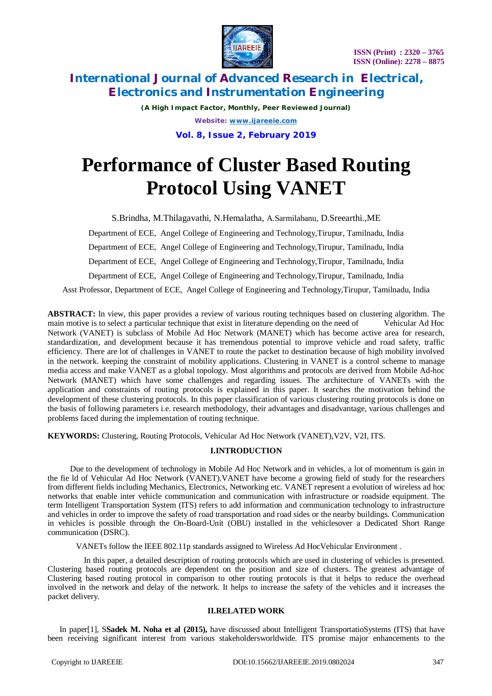

*(A High Impact Factor, Monthly, Peer Reviewed Journal) Website: [www.ijareeie.com](http://www.ijareeie.com)* **Vol. 8, Issue 2, February 2019**

# **Performance of Cluster Based Routing Protocol Using VANET**

S.Brindha, M.Thilagavathi, N.Hemalatha, A.Sarmilabanu, D.Sreearthi.,ME

Department of ECE, Angel College of Engineering and Technology,Tirupur, Tamilnadu, India

Department of ECE, Angel College of Engineering and Technology,Tirupur, Tamilnadu, India

Department of ECE, Angel College of Engineering and Technology,Tirupur, Tamilnadu, India

Department of ECE, Angel College of Engineering and Technology,Tirupur, Tamilnadu, India

Asst Professor, Department of ECE, Angel College of Engineering and Technology,Tirupur, Tamilnadu, India

**ABSTRACT:** In view, this paper provides a review of various routing techniques based on clustering algorithm. The main motive is to select a particular technique that exist in literature depending on the need of Vehicular Ad Hoc Network (VANET) is subclass of Mobile Ad Hoc Network (MANET) which has become active area for research, standardization, and development because it has tremendous potential to improve vehicle and road safety, traffic efficiency. There are lot of challenges in VANET to route the packet to destination because of high mobility involved in the network. keeping the constraint of mobility applications. Clustering in VANET is a control scheme to manage media access and make VANET as a global topology. Most algorithms and protocols are derived from Mobile Ad-hoc Network (MANET) which have some challenges and regarding issues. The architecture of VANETs with the application and constraints of routing protocols is explained in this paper. It searches the motivation behind the development of these clustering protocols. In this paper classification of various clustering routing protocols is done on the basis of following parameters i.e. research methodology, their advantages and disadvantage, various challenges and problems faced during the implementation of routing technique.

**KEYWORDS:** Clustering, Routing Protocols, Vehicular Ad Hoc Network (VANET),V2V, V2I, ITS.

# **I.INTRODUCTION**

 Due to the development of technology in Mobile Ad Hoc Network and in vehicles, a lot of momentum is gain in the fie ld of Vehicular Ad Hoc Network (VANET).VANET have become a growing field of study for the researchers from different fields including Mechanics, Electronics, Networking etc. VANET represent a evolution of wireless ad hoc networks that enable inter vehicle communication and communication with infrastructure or roadside equipment. The term Intelligent Transportation System (ITS) refers to add information and communication technology to infrastructure and vehicles in order to improve the safety of road transportation and road sides or the nearby buildings. Communication in vehicles is possible through the On-Board-Unit (OBU) installed in the vehiclesover a Dedicated Short Range communication (DSRC).

VANETs follow the IEEE 802.11p standards assigned to Wireless Ad HocVehicular Environment .

 In this paper, a detailed description of routing protocols which are used in clustering of vehicles is presented. Clustering based routing protocols are dependent on the position and size of clusters. The greatest advantage of Clustering based routing protocol in comparison to other routing protocols is that it helps to reduce the overhead involved in the network and delay of the network. It helps to increase the safety of the vehicles and it increases the packet delivery.

#### **II.RELATED WORK**

In paper[1], S**Sadek M. Noha et al (2015),** have discussed about Intelligent TransportatioSystems (ITS) that have been receiving significant interest from various stakeholdersworldwide. ITS promise major enhancements to the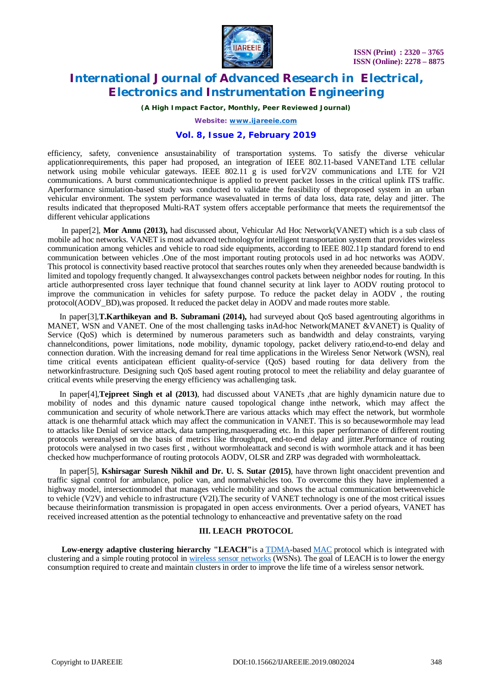

*(A High Impact Factor, Monthly, Peer Reviewed Journal)*

*Website: [www.ijareeie.com](http://www.ijareeie.com)*

# **Vol. 8, Issue 2, February 2019**

efficiency, safety, convenience ansustainability of transportation systems. To satisfy the diverse vehicular applicationrequirements, this paper had proposed, an integration of IEEE 802.11-based VANETand LTE cellular network using mobile vehicular gateways. IEEE 802.11 g is used forV2V communications and LTE for V2I communications. A burst communicationtechnique is applied to prevent packet losses in the critical uplink ITS traffic. Aperformance simulation-based study was conducted to validate the feasibility of theproposed system in an urban vehicular environment. The system performance wasevaluated in terms of data loss, data rate, delay and jitter. The results indicated that theproposed Multi-RAT system offers acceptable performance that meets the requirementsof the different vehicular applications

In paper[2], **Mor Annu (2013),** had discussed about, Vehicular Ad Hoc Network(VANET) which is a sub class of mobile ad hoc networks. VANET is most advanced technologyfor intelligent transportation system that provides wireless communication among vehicles and vehicle to road side equipments, according to IEEE 802.11p standard forend to end communication between vehicles .One of the most important routing protocols used in ad hoc networks was AODV. This protocol is connectivity based reactive protocol that searches routes only when they areneeded because bandwidth is limited and topology frequently changed. It alwaysexchanges control packets between neighbor nodes for routing. In this article authorpresented cross layer technique that found channel security at link layer to AODV routing protocol to improve the communication in vehicles for safety purpose. To reduce the packet delay in AODV , the routing protocol(AODV\_BD),was proposed. It reduced the packet delay in AODV and made routes more stable.

In paper[3],**T.Karthikeyan and B. Subramani (2014),** had surveyed about QoS based agentrouting algorithms in MANET, WSN and VANET. One of the most challenging tasks inAd-hoc Network(MANET &VANET) is Quality of Service (QoS) which is determined by numerous parameters such as bandwidth and delay constraints, varying channelconditions, power limitations, node mobility, dynamic topology, packet delivery ratio,end-to-end delay and connection duration. With the increasing demand for real time applications in the Wireless Senor Network (WSN), real time critical events anticipatean efficient quality-of-service (QoS) based routing for data delivery from the networkinfrastructure. Designing such QoS based agent routing protocol to meet the reliability and delay guarantee of critical events while preserving the energy efficiency was achallenging task.

In paper[4],**Tejpreet Singh et al (2013)**, had discussed about VANETs ,that are highly dynamicin nature due to mobility of nodes and this dynamic nature caused topological change inthe network, which may affect the communication and security of whole network.There are various attacks which may effect the network, but wormhole attack is one theharmful attack which may affect the communication in VANET. This is so becausewormhole may lead to attacks like Denial of service attack, data tampering,masquerading etc. In this paper performance of different routing protocols wereanalysed on the basis of metrics like throughput, end-to-end delay and jitter.Performance of routing protocols were analysed in two cases first , without wormholeattack and second is with wormhole attack and it has been checked how muchperformance of routing protocols AODV, OLSR and ZRP was degraded with wormholeattack.

In paper[5], **Kshirsagar Suresh Nikhil and Dr. U. S. Sutar (2015)**, have thrown light onaccident prevention and traffic signal control for ambulance, police van, and normalvehicles too. To overcome this they have implemented a highway model, intersectionmodel that manages vehicle mobility and shows the actual communication betweenvehicle to vehicle (V2V) and vehicle to infrastructure (V2I).The security of VANET technology is one of the most critical issues because theirinformation transmission is propagated in open access environments. Over a period ofyears, VANET has received increased attention as the potential technology to enhanceactive and preventative safety on the road

#### **III. LEACH PROTOCOL**

**Low-energy adaptive clustering hierarchy "LEACH"**is a TDMA-based MAC protocol which is integrated with clustering and a simple routing protocol in wireless sensor networks (WSNs). The goal of LEACH is to lower the energy consumption required to create and maintain clusters in order to improve the life time of a wireless sensor network.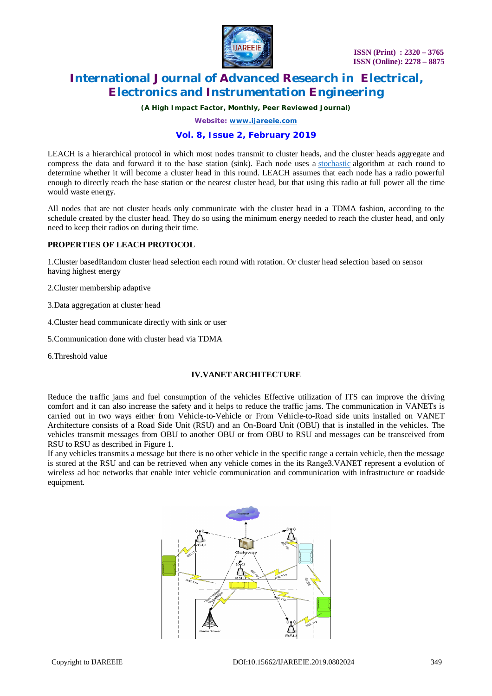

*(A High Impact Factor, Monthly, Peer Reviewed Journal)*

*Website: [www.ijareeie.com](http://www.ijareeie.com)*

# **Vol. 8, Issue 2, February 2019**

LEACH is a hierarchical protocol in which most nodes transmit to cluster heads, and the cluster heads aggregate and compress the data and forward it to the base station (sink). Each node uses a stochastic algorithm at each round to determine whether it will become a cluster head in this round. LEACH assumes that each node has a radio powerful enough to directly reach the base station or the nearest cluster head, but that using this radio at full power all the time would waste energy.

All nodes that are not cluster heads only communicate with the cluster head in a TDMA fashion, according to the schedule created by the cluster head. They do so using the minimum energy needed to reach the cluster head, and only need to keep their radios on during their time.

## **PROPERTIES OF LEACH PROTOCOL**

1.Cluster basedRandom cluster head selection each round with rotation. Or cluster head selection based on sensor having highest energy

- 2.Cluster membership adaptive
- 3.Data aggregation at cluster head
- 4.Cluster head communicate directly with sink or user
- 5.Communication done with cluster head via TDMA
- 6.Threshold value

## **IV.VANET ARCHITECTURE**

Reduce the traffic jams and fuel consumption of the vehicles Effective utilization of ITS can improve the driving comfort and it can also increase the safety and it helps to reduce the traffic jams. The communication in VANETs is carried out in two ways either from Vehicle-to-Vehicle or From Vehicle-to-Road side units installed on VANET Architecture consists of a Road Side Unit (RSU) and an On-Board Unit (OBU) that is installed in the vehicles. The vehicles transmit messages from OBU to another OBU or from OBU to RSU and messages can be transceived from RSU to RSU as described in Figure 1.

If any vehicles transmits a message but there is no other vehicle in the specific range a certain vehicle, then the message is stored at the RSU and can be retrieved when any vehicle comes in the its Range3.VANET represent a evolution of wireless ad hoc networks that enable inter vehicle communication and communication with infrastructure or roadside equipment.

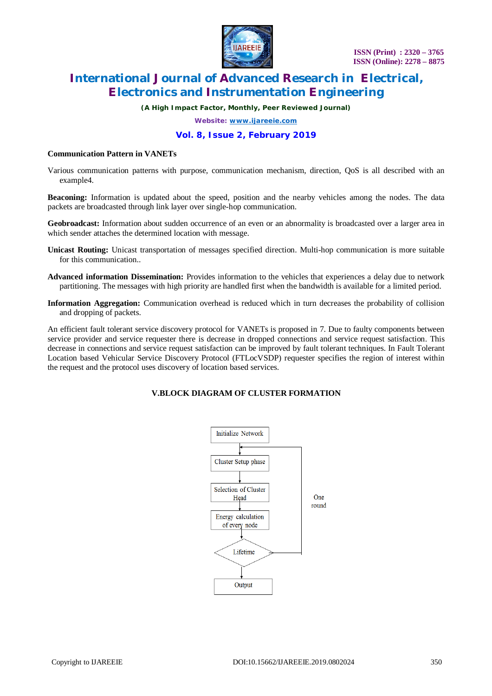

*(A High Impact Factor, Monthly, Peer Reviewed Journal)*

*Website: [www.ijareeie.com](http://www.ijareeie.com)*

# **Vol. 8, Issue 2, February 2019**

#### **Communication Pattern in VANETs**

Various communication patterns with purpose, communication mechanism, direction, QoS is all described with an example4.

**Beaconing:** Information is updated about the speed, position and the nearby vehicles among the nodes. The data packets are broadcasted through link layer over single-hop communication.

**Geobroadcast:** Information about sudden occurrence of an even or an abnormality is broadcasted over a larger area in which sender attaches the determined location with message.

- **Unicast Routing:** Unicast transportation of messages specified direction. Multi-hop communication is more suitable for this communication..
- **Advanced information Dissemination:** Provides information to the vehicles that experiences a delay due to network partitioning. The messages with high priority are handled first when the bandwidth is available for a limited period.
- **Information Aggregation:** Communication overhead is reduced which in turn decreases the probability of collision and dropping of packets.

An efficient fault tolerant service discovery protocol for VANETs is proposed in 7. Due to faulty components between service provider and service requester there is decrease in dropped connections and service request satisfaction. This decrease in connections and service request satisfaction can be improved by fault tolerant techniques. In Fault Tolerant Location based Vehicular Service Discovery Protocol (FTLocVSDP) requester specifies the region of interest within the request and the protocol uses discovery of location based services.

# **V.BLOCK DIAGRAM OF CLUSTER FORMATION**

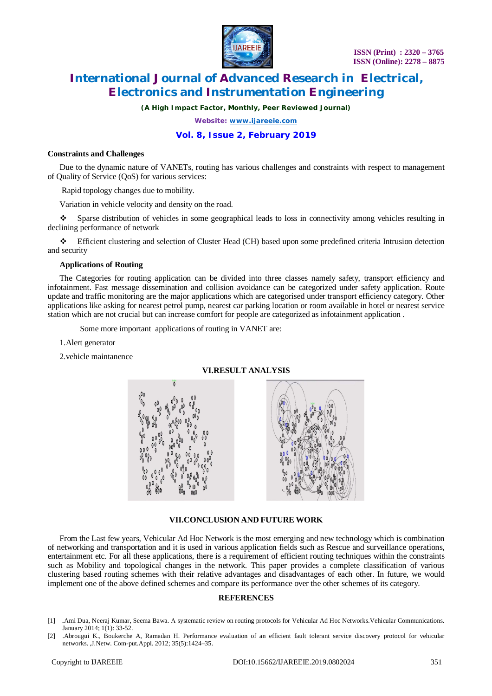

*(A High Impact Factor, Monthly, Peer Reviewed Journal)*

*Website: [www.ijareeie.com](http://www.ijareeie.com)*

# **Vol. 8, Issue 2, February 2019**

#### **Constraints and Challenges**

Due to the dynamic nature of VANETs, routing has various challenges and constraints with respect to management of Quality of Service (QoS) for various services:

Rapid topology changes due to mobility.

Variation in vehicle velocity and density on the road.

 Sparse distribution of vehicles in some geographical leads to loss in connectivity among vehicles resulting in declining performance of network

 Efficient clustering and selection of Cluster Head (CH) based upon some predefined criteria Intrusion detection and security

### **Applications of Routing**

The Categories for routing application can be divided into three classes namely safety, transport efficiency and infotainment. Fast message dissemination and collision avoidance can be categorized under safety application. Route update and traffic monitoring are the major applications which are categorised under transport efficiency category. Other applications like asking for nearest petrol pump, nearest car parking location or room available in hotel or nearest service station which are not crucial but can increase comfort for people are categorized as infotainment application .

Some more important applications of routing in VANET are:

#### 1.Alert generator

2.vehicle maintanence

#### **VI.RESULT ANALYSIS**



## **VII.CONCLUSION AND FUTURE WORK**

From the Last few years, Vehicular Ad Hoc Network is the most emerging and new technology which is combination of networking and transportation and it is used in various application fields such as Rescue and surveillance operations, entertainment etc. For all these applications, there is a requirement of efficient routing techniques within the constraints such as Mobility and topological changes in the network. This paper provides a complete classification of various clustering based routing schemes with their relative advantages and disadvantages of each other. In future, we would implement one of the above defined schemes and compare its performance over the other schemes of its category.

#### **REFERENCES**

- [1] *.*Ami Dua, Neeraj Kumar, Seema Bawa. A systematic review on routing protocols for Vehicular Ad Hoc Networks.Vehicular Communications. January 2014; 1(1): 33-52.
- [2] .Abrougui K., Boukerche A, Ramadan H. Performance evaluation of an efficient fault tolerant service discovery protocol for vehicular networks. ,J.Netw. Com-put.Appl. 2012; 35(5):1424–35.